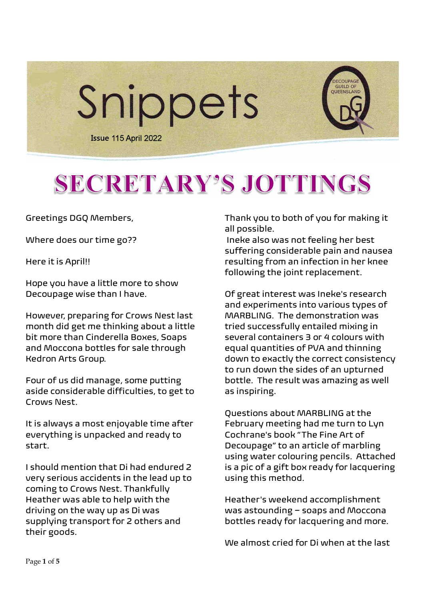

# SECRETARY'S JOTTINGS

Greetings DGQ Members,

Where does our time go??

Here it is April!!

Hope you have a little more to show Decoupage wise than I have.

However, preparing for Crows Nest last month did get me thinking about a little bit more than Cinderella Boxes, Soaps and Moccona bottles for sale through Kedron Arts Group.

Four of us did manage, some putting aside considerable difficulties, to get to Crows Nest.

It is always a most enjoyable time after everything is unpacked and ready to start.

I should mention that Di had endured 2 very serious accidents in the lead up to coming to Crows Nest. Thankfully Heather was able to help with the driving on the way up as Di was supplying transport for 2 others and their goods.

Thank you to both of you for making it all possible.

 Ineke also was not feeling her best suffering considerable pain and nausea resulting from an infection in her knee following the joint replacement.

Of great interest was Ineke's research and experiments into various types of MARBLING. The demonstration was tried successfully entailed mixing in several containers 3 or 4 colours with equal quantities of PVA and thinning down to exactly the correct consistency to run down the sides of an upturned bottle. The result was amazing as well as inspiring.

Questions about MARBLING at the February meeting had me turn to Lyn Cochrane's book "The Fine Art of Decoupage" to an article of marbling using water colouring pencils. Attached is a pic of a gift box ready for lacquering using this method.

Heather's weekend accomplishment was astounding – soaps and Moccona bottles ready for lacquering and more.

We almost cried for Di when at the last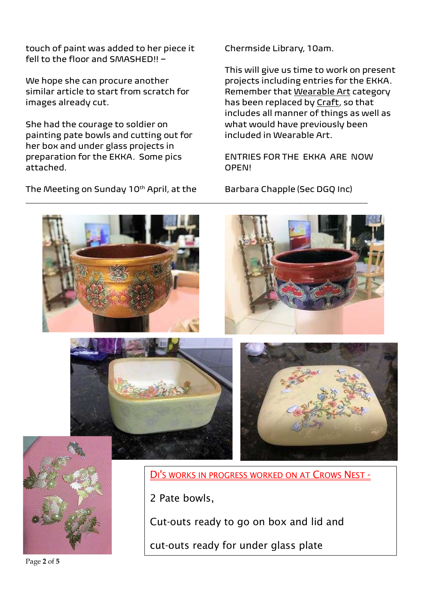touch of paint was added to her piece it fell to the floor and SMASHED!! –

We hope she can procure another similar article to start from scratch for images already cut.

She had the courage to soldier on painting pate bowls and cutting out for her box and under glass projects in preparation for the EKKA. Some pics attached.

The Meeting on Sunday 10<sup>th</sup> April, at the

Chermside Library, 10am.

This will give us time to work on present projects including entries for the EKKA. Remember that Wearable Art category has been replaced by Craft, so that includes all manner of things as well as what would have previously been included in Wearable Art.

ENTRIES FOR THE EKKA ARE NOW OPEN!

Barbara Chapple (Sec DGQ Inc)



\_\_\_\_\_\_\_\_\_\_\_\_\_\_\_\_\_\_\_\_\_\_\_\_\_\_\_\_\_\_\_\_\_\_\_\_\_\_\_\_\_\_\_\_\_\_\_\_\_\_\_\_\_\_\_\_\_\_\_\_\_\_\_\_\_\_\_\_\_\_\_\_\_\_\_\_\_\_\_\_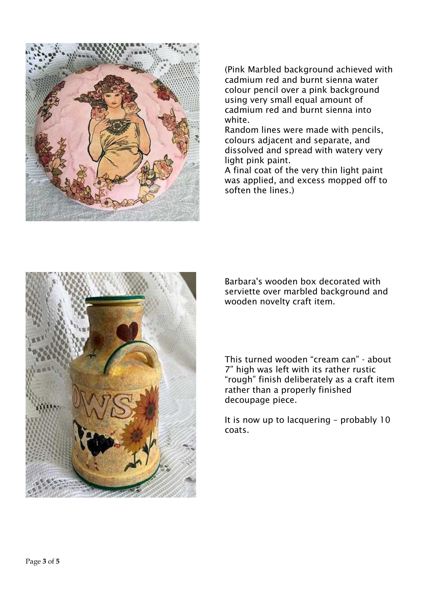

(Pink Marbled background achieved with cadmium red and burnt sienna water colour pencil over a pink background using very small equal amount of cadmium red and burnt sienna into white.

Random lines were made with pencils, colours adjacent and separate, and dissolved and spread with watery very light pink paint.

A final coat of the very thin light paint was applied, and excess mopped off to soften the lines.)



Barbara's wooden box decorated with serviette over marbled background and wooden novelty craft item.

This turned wooden "cream can" - about 7" high was left with its rather rustic "rough" finish deliberately as a craft item rather than a properly finished decoupage piece.

It is now up to lacquering – probably 10 coats.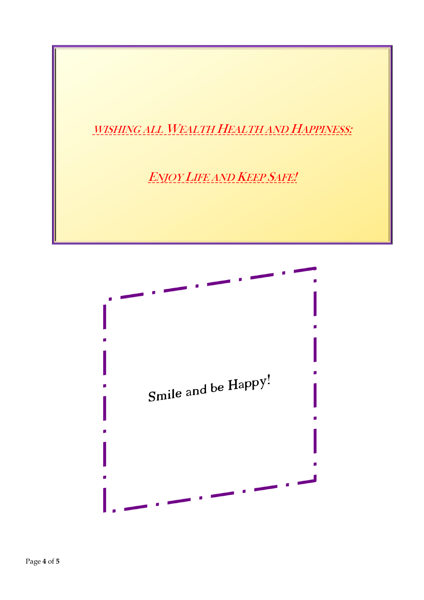